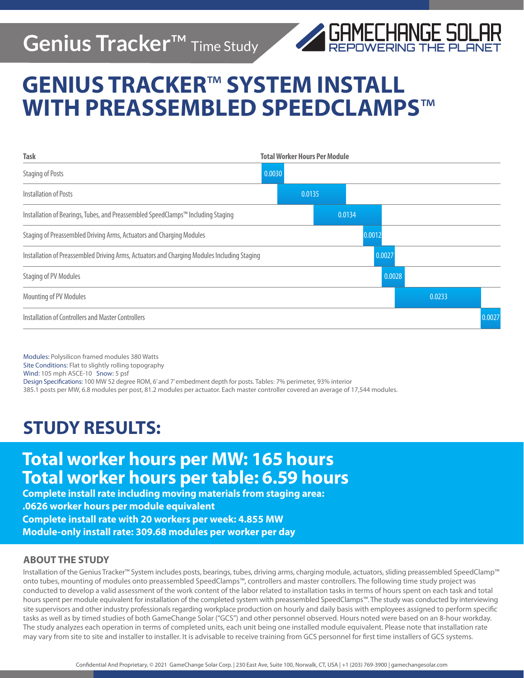## **Genius Tracker**™ Time Study



# **GENIUS TRACKER**™ **SYSTEM INSTALL WITH PREASSEMBLED SPEEDCLAMPS**™



Modules: Polysilicon framed modules 380 Watts Site Conditions: Flat to slightly rolling topography Wind: 105 mph ASCE-10 Snow: 5 psf Design Specifications: 100 MW 52 degree ROM, 6' and 7' embedment depth for posts. Tables: 7% perimeter, 93% interior 385.1 posts per MW, 6.8 modules per post, 81.2 modules per actuator. Each master controller covered an average of 17,544 modules.

### **STUDY RESULTS:**

### **Total worker hours per MW: 165 hours Total worker hours per table: 6.59 hours**

**Complete install rate including moving materials from staging area: .0626 worker hours per module equivalent Complete install rate with 20 workers per week: 4.855 MW Module-only install rate: 309.68 modules per worker per day** 

#### **ABOUT THE STUDY**

Installation of the Genius Tracker™ System includes posts, bearings, tubes, driving arms, charging module, actuators, sliding preassembled SpeedClamp™ onto tubes, mounting of modules onto preassembled SpeedClamps™, controllers and master controllers. The following time study project was conducted to develop a valid assessment of the work content of the labor related to installation tasks in terms of hours spent on each task and total hours spent per module equivalent for installation of the completed system with preassembled SpeedClamps™. The study was conducted by interviewing site supervisors and other industry professionals regarding workplace production on hourly and daily basis with employees assigned to perform specific tasks as well as by timed studies of both GameChange Solar ("GCS") and other personnel observed. Hours noted were based on an 8-hour workday. The study analyzes each operation in terms of completed units, each unit being one installed module equivalent. Please note that installation rate may vary from site to site and installer to installer. It is advisable to receive training from GCS personnel for first time installers of GCS systems.